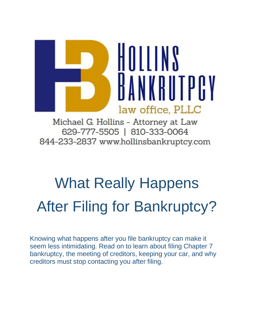

Michael G. Hollins - Attorney at Law 629-777-5505 | 810-333-0064 844-233-2837 www.hollinsbankruptcy.com

# What Really Happens After Filing for Bankruptcy?

Knowing what happens after you file bankruptcy can make it seem less intimidating. Read on to learn about filing Chapter 7 bankruptcy, the meeting of creditors, keeping your car, and why creditors must stop contacting you after filing.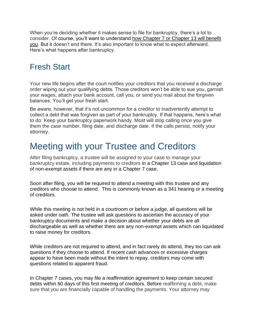When you're deciding whether it makes sense to file for bankruptcy, there's a lot to consider. Of course, you'll want to understand how Chapter 7 or Chapter 13 will benefit you. But it doesn't end there. It's also important to know what to expect afterward. Here's what happens after bankruptcy.

### Fresh Start

Your new life begins after the court notifies your creditors that you received a discharge order wiping out your qualifying debts. Those creditors won't be able to sue you, garnish your wages, attach your bank account, call you, or send you mail about the forgiven balances. You'll get your fresh start.

Be aware, however, that it's not uncommon for a creditor to inadvertently attempt to collect a debt that was forgiven as part of your bankruptcy. If that happens, here's what to do: Keep your bankruptcy paperwork handy. Most will stop calling once you give them the case number, filing date, and discharge date. If the calls persist, notify your attorney.

## Meeting with your Trustee and Creditors

After filing bankruptcy, a trustee will be assigned to your case to manage your bankruptcy estate, including payments to creditors in a Chapter 13 case and liquidation of non-exempt assets if there are any in a Chapter 7 case.

Soon after filing, you will be required to attend a meeting with this trustee and any creditors who choose to attend. This is commonly known as a 341 hearing or a meeting of creditors.

While this meeting is not held in a courtroom or before a judge, all questions will be asked under oath. The trustee will ask questions to ascertain the accuracy of your bankruptcy documents and make a decision about whether your debts are all dischargeable as well as whether there are any non-exempt assets which can liquidated to raise money for creditors.

While creditors are not required to attend, and in fact rarely do attend, they too can ask questions if they choose to attend. If recent cash advances or excessive charges appear to have been made without the intent to repay, creditors may come with questions related to apparent fraud.

In Chapter 7 cases, you may file a reaffirmation agreement to keep certain secured debts within 60 days of this first meeting of creditors. Before reaffirming a debt, make sure that you are financially capable of handling the payments. Your attorney may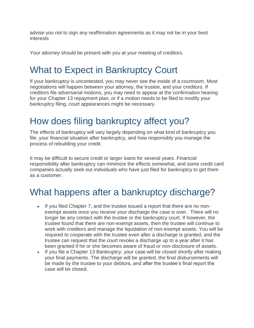advise you not to sign any reaffirmation agreements as it may not be in your best interests

Your attorney should be present with you at your meeting of creditors.

## What to Expect in Bankruptcy Court

If your bankruptcy is uncontested, you may never see the inside of a courtroom. Most negotiations will happen between your attorney, the trustee, and your creditors. If creditors file adversarial motions, you may need to appear at the confirmation hearing for your Chapter 13 repayment plan, or if a motion needs to be filed to modify your bankruptcy filing, court appearances might be necessary.

## How does filing bankruptcy affect you?

The effects of bankruptcy will vary largely depending on what kind of bankruptcy you file, your financial situation after bankruptcy, and how responsibly you manage the process of rebuilding your credit.

It may be difficult to secure credit or larger loans for several years. Financial responsibility after bankruptcy can minimize the effects somewhat, and some credit card companies actually seek out individuals who have just filed for bankruptcy to get them as a customer.

## What happens after a bankruptcy discharge?

- If you filed Chapter 7, and the trustee issued a report that there are no nonexempt assets once you receive your discharge the case is over. There will no longer be any contact with the trustee or the bankruptcy court. If however, the trustee found that there are non-exempt assets, then the trustee will continue to work with creditors and manage the liquidation of non-exempt assets. You will be required to cooperate with the trustee even after a discharge is granted, and the trustee can request that the court revoke a discharge up to a year after it has been granted if he or she becomes aware of fraud or non-disclosure of assets.
- If you file a Chapter 13 Bankruptcy, your case will be closed shortly after making your final payments. The discharge will be granted, the final disbursements will be made by the trustee to your debtors, and after the trustee's final report the case will be closed.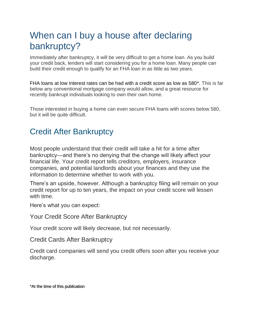## When can I buy a house after declaring bankruptcy?

Immediately after bankruptcy, it will be very difficult to get a home loan. As you build your credit back, lenders will start considering you for a home loan. Many people can build their credit enough to qualify for an FHA loan in as little as two years.

FHA loans at low interest rates can be had with a credit score as low as 580\*. This is far below any conventional mortgage company would allow, and a great resource for recently bankrupt individuals looking to own their own home.

Those interested in buying a home can even secure FHA loans with scores below 580, but it will be quite difficult.

### Credit After Bankruptcy

Most people understand that their credit will take a hit for a time after bankruptcy—and there's no denying that the change will likely affect your financial life. Your credit report tells creditors, employers, insurance companies, and potential landlords about your finances and they use the information to determine whether to work with you.

There's an upside, however. Although a bankruptcy filing will remain on your credit report for up to ten years, the impact on your credit score will lessen with time.

Here's what you can expect:

Your Credit Score After Bankruptcy

Your credit score will likely decrease, but not necessarily.

Credit Cards After Bankruptcy

Credit card companies will send you credit offers soon after you receive your discharge.

\*At the time of this publication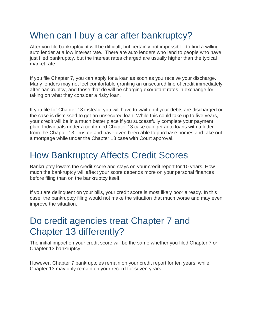## When can I buy a car after bankruptcy?

After you file bankruptcy, it will be difficult, but certainly not impossible, to find a willing auto lender at a low interest rate. There are auto lenders who lend to people who have just filed bankruptcy, but the interest rates charged are usually higher than the typical market rate.

If you file Chapter 7, you can apply for a loan as soon as you receive your discharge. Many lenders may not feel comfortable granting an unsecured line of credit immediately after bankruptcy, and those that do will be charging exorbitant rates in exchange for taking on what they consider a risky loan.

If you file for Chapter 13 instead, you will have to wait until your debts are discharged or the case is dismissed to get an unsecured loan. While this could take up to five years, your credit will be in a much better place if you successfully complete your payment plan. Individuals under a confirmed Chapter 13 case can get auto loans with a letter from the Chapter 13 Trustee and have even been able to purchase homes and take out a mortgage while under the Chapter 13 case with Court approval.

## How Bankruptcy Affects Credit Scores

Bankruptcy lowers the credit score and stays on your credit report for 10 years. How much the bankruptcy will affect your score depends more on your personal finances before filing than on the bankruptcy itself.

If you are delinquent on your bills, your credit score is most likely poor already. In this case, the bankruptcy filing would not make the situation that much worse and may even improve the situation.

## Do credit agencies treat Chapter 7 and Chapter 13 differently?

The initial impact on your credit score will be the same whether you filed Chapter 7 or Chapter 13 bankruptcy.

However, Chapter 7 bankruptcies remain on your credit report for ten years, while Chapter 13 may only remain on your record for seven years.